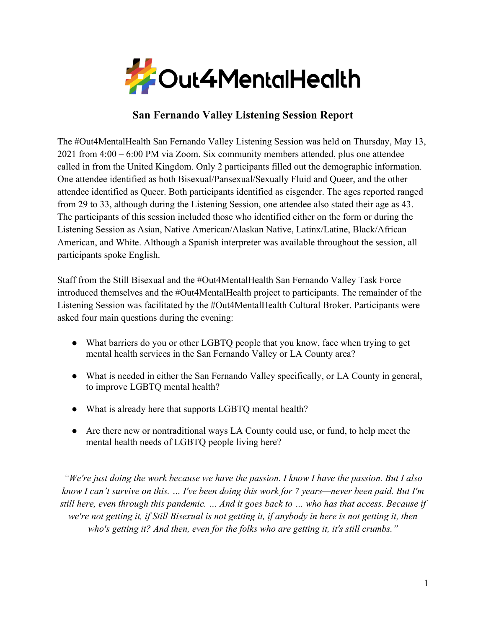

# **San Fernando Valley Listening Session Report**

The #Out4MentalHealth San Fernando Valley Listening Session was held on Thursday, May 13, 2021 from 4:00 – 6:00 PM via Zoom. Six community members attended, plus one attendee called in from the United Kingdom. Only 2 participants filled out the demographic information. One attendee identified as both Bisexual/Pansexual/Sexually Fluid and Queer, and the other attendee identified as Queer. Both participants identified as cisgender. The ages reported ranged from 29 to 33, although during the Listening Session, one attendee also stated their age as 43. The participants of this session included those who identified either on the form or during the Listening Session as Asian, Native American/Alaskan Native, Latinx/Latine, Black/African American, and White. Although a Spanish interpreter was available throughout the session, all participants spoke English.

Staff from the Still Bisexual and the #Out4MentalHealth San Fernando Valley Task Force introduced themselves and the #Out4MentalHealth project to participants. The remainder of the Listening Session was facilitated by the #Out4MentalHealth Cultural Broker. Participants were asked four main questions during the evening:

- What barriers do you or other LGBTQ people that you know, face when trying to get mental health services in the San Fernando Valley or LA County area?
- What is needed in either the San Fernando Valley specifically, or LA County in general, to improve LGBTQ mental health?
- What is already here that supports LGBTQ mental health?
- Are there new or nontraditional ways LA County could use, or fund, to help meet the mental health needs of LGBTQ people living here?

*"We're just doing the work because we have the passion. I know I have the passion. But I also know I can't survive on this. … I've been doing this work for 7 years—never been paid. But I'm still here, even through this pandemic. … And it goes back to … who has that access. Because if we're not getting it, if Still Bisexual is not getting it, if anybody in here is not getting it, then who's getting it? And then, even for the folks who are getting it, it's still crumbs."*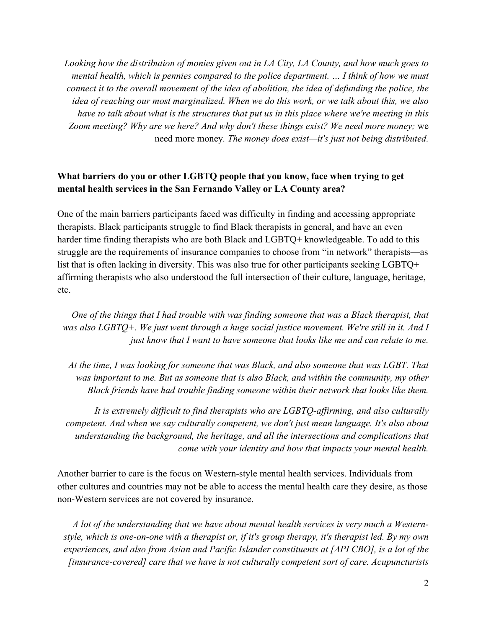*Looking how the distribution of monies given out in LA City, LA County, and how much goes to mental health, which is pennies compared to the police department. … I think of how we must*  connect it to the overall movement of the idea of abolition, the idea of defunding the police, the *idea of reaching our most marginalized. When we do this work, or we talk about this, we also have to talk about what is the structures that put us in this place where we're meeting in this Zoom meeting? Why are we here? And why don't these things exist? We need more money;* we need more money*. The money does exist—it's just not being distributed.*

### **What barriers do you or other LGBTQ people that you know, face when trying to get mental health services in the San Fernando Valley or LA County area?**

One of the main barriers participants faced was difficulty in finding and accessing appropriate therapists. Black participants struggle to find Black therapists in general, and have an even harder time finding therapists who are both Black and LGBTQ+ knowledgeable. To add to this struggle are the requirements of insurance companies to choose from "in network" therapists—as list that is often lacking in diversity. This was also true for other participants seeking LGBTQ+ affirming therapists who also understood the full intersection of their culture, language, heritage, etc.

*One of the things that I had trouble with was finding someone that was a Black therapist, that was also LGBTQ+. We just went through a huge social justice movement. We're still in it. And I just know that I want to have someone that looks like me and can relate to me.*

*At the time, I was looking for someone that was Black, and also someone that was LGBT. That*  was important to me. But as someone that is also Black, and within the community, my other *Black friends have had trouble finding someone within their network that looks like them.* 

*It is extremely difficult to find therapists who are LGBTQ-affirming, and also culturally competent. And when we say culturally competent, we don't just mean language. It's also about understanding the background, the heritage, and all the intersections and complications that come with your identity and how that impacts your mental health.*

Another barrier to care is the focus on Western-style mental health services. Individuals from other cultures and countries may not be able to access the mental health care they desire, as those non-Western services are not covered by insurance.

*A lot of the understanding that we have about mental health services is very much a Westernstyle, which is one-on-one with a therapist or, if it's group therapy, it's therapist led. By my own experiences, and also from Asian and Pacific Islander constituents at [API CBO], is a lot of the [insurance-covered] care that we have is not culturally competent sort of care. Acupuncturists*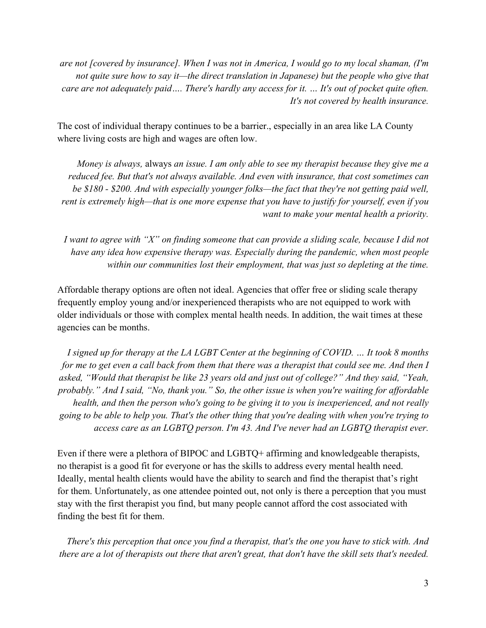*are not [covered by insurance]. When I was not in America, I would go to my local shaman, (I'm not quite sure how to say it—the direct translation in Japanese) but the people who give that care are not adequately paid…. There's hardly any access for it. … It's out of pocket quite often. It's not covered by health insurance.*

The cost of individual therapy continues to be a barrier., especially in an area like LA County where living costs are high and wages are often low.

*Money is always,* always *an issue. I am only able to see my therapist because they give me a reduced fee. But that's not always available. And even with insurance, that cost sometimes can be \$180 - \$200. And with especially younger folks—the fact that they're not getting paid well, rent is extremely high—that is one more expense that you have to justify for yourself, even if you want to make your mental health a priority.*

*I want to agree with "X" on finding someone that can provide a sliding scale, because I did not have any idea how expensive therapy was. Especially during the pandemic, when most people within our communities lost their employment, that was just so depleting at the time.*

Affordable therapy options are often not ideal. Agencies that offer free or sliding scale therapy frequently employ young and/or inexperienced therapists who are not equipped to work with older individuals or those with complex mental health needs. In addition, the wait times at these agencies can be months.

*I signed up for therapy at the LA LGBT Center at the beginning of COVID. … It took 8 months for me to get even a call back from them that there was a therapist that could see me. And then I asked, "Would that therapist be like 23 years old and just out of college?" And they said, "Yeah, probably." And I said, "No, thank you." So, the other issue is when you're waiting for affordable health, and then the person who's going to be giving it to you is inexperienced, and not really going to be able to help you. That's the other thing that you're dealing with when you're trying to access care as an LGBTQ person. I'm 43. And I've never had an LGBTQ therapist ever.*

Even if there were a plethora of BIPOC and LGBTQ+ affirming and knowledgeable therapists, no therapist is a good fit for everyone or has the skills to address every mental health need. Ideally, mental health clients would have the ability to search and find the therapist that's right for them. Unfortunately, as one attendee pointed out, not only is there a perception that you must stay with the first therapist you find, but many people cannot afford the cost associated with finding the best fit for them.

*There's this perception that once you find a therapist, that's the one you have to stick with. And there are a lot of therapists out there that aren't great, that don't have the skill sets that's needed.*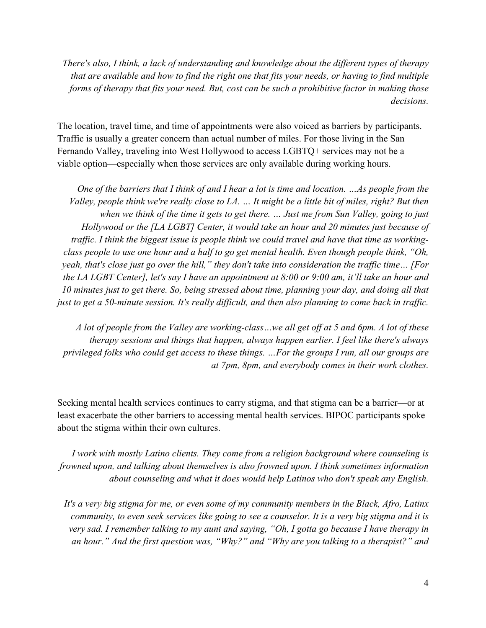*There's also, I think, a lack of understanding and knowledge about the different types of therapy that are available and how to find the right one that fits your needs, or having to find multiple forms of therapy that fits your need. But, cost can be such a prohibitive factor in making those decisions.*

The location, travel time, and time of appointments were also voiced as barriers by participants. Traffic is usually a greater concern than actual number of miles. For those living in the San Fernando Valley, traveling into West Hollywood to access LGBTQ+ services may not be a viable option—especially when those services are only available during working hours.

*One of the barriers that I think of and I hear a lot is time and location. …As people from the Valley, people think we're really close to LA. … It might be a little bit of miles, right? But then when we think of the time it gets to get there. … Just me from Sun Valley, going to just Hollywood or the [LA LGBT] Center, it would take an hour and 20 minutes just because of traffic. I think the biggest issue is people think we could travel and have that time as workingclass people to use one hour and a half to go get mental health. Even though people think, "Oh, yeah, that's close just go over the hill," they don't take into consideration the traffic time… [For the LA LGBT Center], let's say I have an appointment at 8:00 or 9:00 am, it'll take an hour and 10 minutes just to get there. So, being stressed about time, planning your day, and doing all that just to get a 50-minute session. It's really difficult, and then also planning to come back in traffic.*

*A lot of people from the Valley are working-class…we all get off at 5 and 6pm. A lot of these therapy sessions and things that happen, always happen earlier. I feel like there's always privileged folks who could get access to these things. …For the groups I run, all our groups are at 7pm, 8pm, and everybody comes in their work clothes.*

Seeking mental health services continues to carry stigma, and that stigma can be a barrier—or at least exacerbate the other barriers to accessing mental health services. BIPOC participants spoke about the stigma within their own cultures.

*I work with mostly Latino clients. They come from a religion background where counseling is frowned upon, and talking about themselves is also frowned upon. I think sometimes information about counseling and what it does would help Latinos who don't speak any English.*

*It's a very big stigma for me, or even some of my community members in the Black, Afro, Latinx community, to even seek services like going to see a counselor. It is a very big stigma and it is very sad. I remember talking to my aunt and saying, "Oh, I gotta go because I have therapy in an hour." And the first question was, "Why?" and "Why are you talking to a therapist?" and*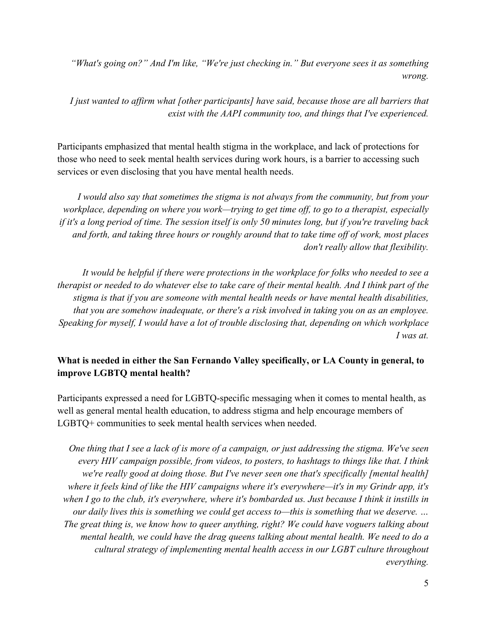*"What's going on?" And I'm like, "We're just checking in." But everyone sees it as something wrong.*

*I just wanted to affirm what [other participants] have said, because those are all barriers that exist with the AAPI community too, and things that I've experienced.* 

Participants emphasized that mental health stigma in the workplace, and lack of protections for those who need to seek mental health services during work hours, is a barrier to accessing such services or even disclosing that you have mental health needs.

*I would also say that sometimes the stigma is not always from the community, but from your workplace, depending on where you work—trying to get time off, to go to a therapist, especially if it's a long period of time. The session itself is only 50 minutes long, but if you're traveling back and forth, and taking three hours or roughly around that to take time off of work, most places don't really allow that flexibility.*

*It would be helpful if there were protections in the workplace for folks who needed to see a therapist or needed to do whatever else to take care of their mental health. And I think part of the stigma is that if you are someone with mental health needs or have mental health disabilities, that you are somehow inadequate, or there's a risk involved in taking you on as an employee. Speaking for myself, I would have a lot of trouble disclosing that, depending on which workplace I was at.*

## **What is needed in either the San Fernando Valley specifically, or LA County in general, to improve LGBTQ mental health?**

Participants expressed a need for LGBTQ-specific messaging when it comes to mental health, as well as general mental health education, to address stigma and help encourage members of LGBTQ+ communities to seek mental health services when needed.

*One thing that I see a lack of is more of a campaign, or just addressing the stigma. We've seen every HIV campaign possible, from videos, to posters, to hashtags to things like that. I think we're really good at doing those. But I've never seen one that's specifically [mental health] where it feels kind of like the HIV campaigns where it's everywhere—it's in my Grindr app, it's when I go to the club, it's everywhere, where it's bombarded us. Just because I think it instills in our daily lives this is something we could get access to—this is something that we deserve. … The great thing is, we know how to queer anything, right? We could have voguers talking about mental health, we could have the drag queens talking about mental health. We need to do a cultural strategy of implementing mental health access in our LGBT culture throughout everything.*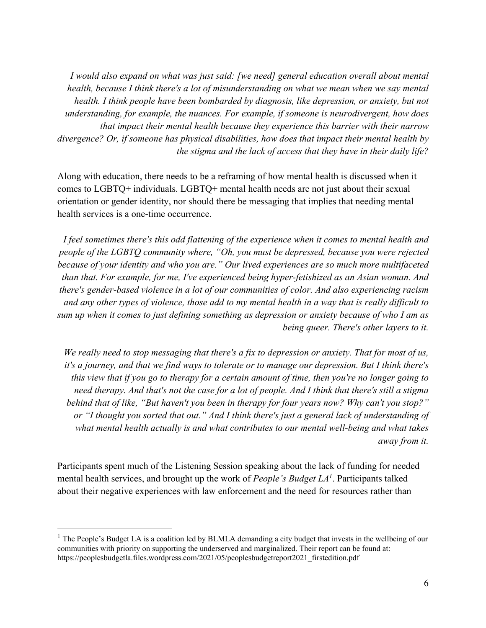*I would also expand on what was just said: [we need] general education overall about mental health, because I think there's a lot of misunderstanding on what we mean when we say mental health. I think people have been bombarded by diagnosis, like depression, or anxiety, but not understanding, for example, the nuances. For example, if someone is neurodivergent, how does that impact their mental health because they experience this barrier with their narrow divergence? Or, if someone has physical disabilities, how does that impact their mental health by the stigma and the lack of access that they have in their daily life?*

Along with education, there needs to be a reframing of how mental health is discussed when it comes to LGBTQ+ individuals. LGBTQ+ mental health needs are not just about their sexual orientation or gender identity, nor should there be messaging that implies that needing mental health services is a one-time occurrence.

*I feel sometimes there's this odd flattening of the experience when it comes to mental health and people of the LGBTQ community where, "Oh, you must be depressed, because you were rejected because of your identity and who you are." Our lived experiences are so much more multifaceted than that. For example, for me, I've experienced being hyper-fetishized as an Asian woman. And there's gender-based violence in a lot of our communities of color. And also experiencing racism and any other types of violence, those add to my mental health in a way that is really difficult to sum up when it comes to just defining something as depression or anxiety because of who I am as being queer. There's other layers to it.*

*We really need to stop messaging that there's a fix to depression or anxiety. That for most of us, it's a journey, and that we find ways to tolerate or to manage our depression. But I think there's this view that if you go to therapy for a certain amount of time, then you're no longer going to need therapy. And that's not the case for a lot of people. And I think that there's still a stigma behind that of like, "But haven't you been in therapy for four years now? Why can't you stop?" or "I thought you sorted that out." And I think there's just a general lack of understanding of what mental health actually is and what contributes to our mental well-being and what takes away from it.*

Participants spent much of the Listening Session speaking about the lack of funding for needed mental health services, and brought up the work of *People's Budget LA1*. Participants talked about their negative experiences with law enforcement and the need for resources rather than

 $<sup>1</sup>$  The People's Budget LA is a coalition led by BLMLA demanding a city budget that invests in the wellbeing of our</sup> communities with priority on supporting the underserved and marginalized. Their report can be found at: https://peoplesbudgetla.files.wordpress.com/2021/05/peoplesbudgetreport2021\_firstedition.pdf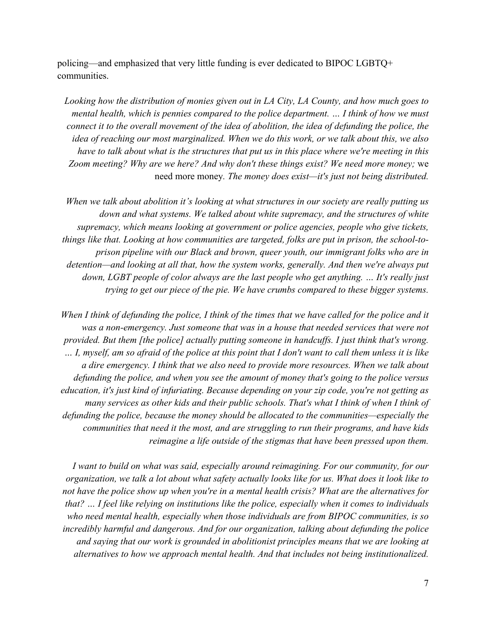policing—and emphasized that very little funding is ever dedicated to BIPOC LGBTQ+ communities.

*Looking how the distribution of monies given out in LA City, LA County, and how much goes to mental health, which is pennies compared to the police department. … I think of how we must connect it to the overall movement of the idea of abolition, the idea of defunding the police, the idea of reaching our most marginalized. When we do this work, or we talk about this, we also have to talk about what is the structures that put us in this place where we're meeting in this Zoom meeting? Why are we here? And why don't these things exist? We need more money;* we need more money*. The money does exist—it's just not being distributed.*

*When we talk about abolition it's looking at what structures in our society are really putting us down and what systems. We talked about white supremacy, and the structures of white supremacy, which means looking at government or police agencies, people who give tickets, things like that. Looking at how communities are targeted, folks are put in prison, the school-toprison pipeline with our Black and brown, queer youth, our immigrant folks who are in detention—and looking at all that, how the system works, generally. And then we're always put down, LGBT people of color always are the last people who get anything. … It's really just trying to get our piece of the pie. We have crumbs compared to these bigger systems.*

*When I think of defunding the police, I think of the times that we have called for the police and it was a non-emergency. Just someone that was in a house that needed services that were not provided. But them [the police] actually putting someone in handcuffs. I just think that's wrong. … I, myself, am so afraid of the police at this point that I don't want to call them unless it is like a dire emergency. I think that we also need to provide more resources. When we talk about defunding the police, and when you see the amount of money that's going to the police versus education, it's just kind of infuriating. Because depending on your zip code, you're not getting as many services as other kids and their public schools. That's what I think of when I think of defunding the police, because the money should be allocated to the communities—especially the communities that need it the most, and are struggling to run their programs, and have kids reimagine a life outside of the stigmas that have been pressed upon them.*

*I want to build on what was said, especially around reimagining. For our community, for our organization, we talk a lot about what safety actually looks like for us. What does it look like to not have the police show up when you're in a mental health crisis? What are the alternatives for that? … I feel like relying on institutions like the police, especially when it comes to individuals who need mental health, especially when those individuals are from BIPOC communities, is so incredibly harmful and dangerous. And for our organization, talking about defunding the police and saying that our work is grounded in abolitionist principles means that we are looking at alternatives to how we approach mental health. And that includes not being institutionalized.*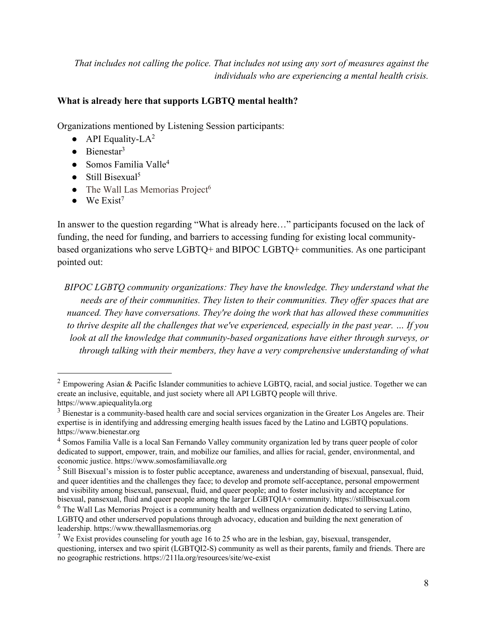*That includes not calling the police. That includes not using any sort of measures against the individuals who are experiencing a mental health crisis.*

### **What is already here that supports LGBTQ mental health?**

Organizations mentioned by Listening Session participants:

- $\bullet$  API Equality-LA<sup>2</sup>
- $\bullet$  Bienestar<sup>3</sup>
- Somos Familia Valle<sup>4</sup>
- $\bullet$  Still Bisexual<sup>5</sup>
- $\bullet$  The Wall Las Memorias Project<sup>6</sup>
- $\bullet$  We Exist<sup>7</sup>

In answer to the question regarding "What is already here..." participants focused on the lack of funding, the need for funding, and barriers to accessing funding for existing local communitybased organizations who serve LGBTQ+ and BIPOC LGBTQ+ communities. As one participant pointed out:

*BIPOC LGBTQ community organizations: They have the knowledge. They understand what the needs are of their communities. They listen to their communities. They offer spaces that are nuanced. They have conversations. They're doing the work that has allowed these communities to thrive despite all the challenges that we've experienced, especially in the past year. … If you look at all the knowledge that community-based organizations have either through surveys, or through talking with their members, they have a very comprehensive understanding of what* 

<sup>&</sup>lt;sup>2</sup> Empowering Asian & Pacific Islander communities to achieve LGBTQ, racial, and social justice. Together we can create an inclusive, equitable, and just society where all API LGBTQ people will thrive. https://www.apiequalityla.org

<sup>3</sup> Bienestar is a community-based health care and social services organization in the Greater Los Angeles are. Their expertise is in identifying and addressing emerging health issues faced by the Latino and LGBTQ populations. https://www.bienestar.org

<sup>4</sup> Somos Familia Valle is a local San Fernando Valley community organization led by trans queer people of color dedicated to support, empower, train, and mobilize our families, and allies for racial, gender, environmental, and economic justice. https://www.somosfamiliavalle.org

<sup>&</sup>lt;sup>5</sup> Still Bisexual's mission is to foster public acceptance, awareness and understanding of bisexual, pansexual, fluid, and queer identities and the challenges they face; to develop and promote self-acceptance, personal empowerment and visibility among bisexual, pansexual, fluid, and queer people; and to foster inclusivity and acceptance for bisexual, pansexual, fluid and queer people among the larger LGBTQIA+ community. https://stillbisexual.com

<sup>&</sup>lt;sup>6</sup> The Wall Las Memorias Project is a community health and wellness organization dedicated to serving Latino, LGBTQ and other underserved populations through advocacy, education and building the next generation of leadership. https://www.thewalllasmemorias.org

<sup>&</sup>lt;sup>7</sup> We Exist provides counseling for youth age 16 to 25 who are in the lesbian, gay, bisexual, transgender, questioning, intersex and two spirit (LGBTQI2-S) community as well as their parents, family and friends. There are no geographic restrictions. https://211la.org/resources/site/we-exist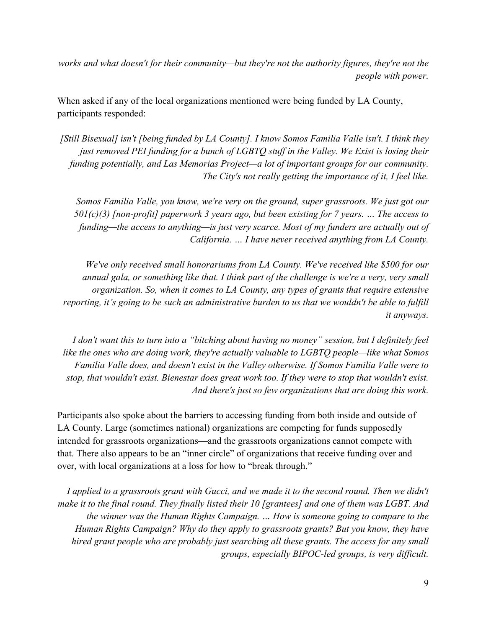*works and what doesn't for their community—but they're not the authority figures, they're not the people with power.*

When asked if any of the local organizations mentioned were being funded by LA County, participants responded:

*[Still Bisexual] isn't [being funded by LA County]. I know Somos Familia Valle isn't. I think they just removed PEI funding for a bunch of LGBTQ stuff in the Valley. We Exist is losing their funding potentially, and Las Memorias Project—a lot of important groups for our community. The City's not really getting the importance of it, I feel like.*

*Somos Familia Valle, you know, we're very on the ground, super grassroots. We just got our 501(c)(3) [non-profit] paperwork 3 years ago, but been existing for 7 years. … The access to funding—the access to anything—is just very scarce. Most of my funders are actually out of California. … I have never received anything from LA County.* 

*We've only received small honorariums from LA County. We've received like \$500 for our annual gala, or something like that. I think part of the challenge is we're a very, very small organization. So, when it comes to LA County, any types of grants that require extensive reporting, it's going to be such an administrative burden to us that we wouldn't be able to fulfill it anyways.* 

*I don't want this to turn into a "bitching about having no money" session, but I definitely feel like the ones who are doing work, they're actually valuable to LGBTQ people—like what Somos Familia Valle does, and doesn't exist in the Valley otherwise. If Somos Familia Valle were to stop, that wouldn't exist. Bienestar does great work too. If they were to stop that wouldn't exist. And there's just so few organizations that are doing this work.*

Participants also spoke about the barriers to accessing funding from both inside and outside of LA County. Large (sometimes national) organizations are competing for funds supposedly intended for grassroots organizations—and the grassroots organizations cannot compete with that. There also appears to be an "inner circle" of organizations that receive funding over and over, with local organizations at a loss for how to "break through."

*I applied to a grassroots grant with Gucci, and we made it to the second round. Then we didn't make it to the final round. They finally listed their 10 [grantees] and one of them was LGBT. And the winner was the Human Rights Campaign. … How is someone going to compare to the Human Rights Campaign? Why do they apply to grassroots grants? But you know, they have hired grant people who are probably just searching all these grants. The access for any small groups, especially BIPOC-led groups, is very difficult.*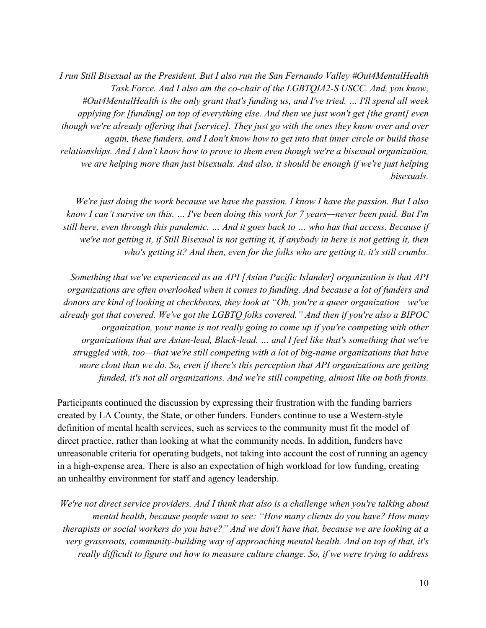*I run Still Bisexual as the President. But I also run the San Fernando Valley #Out4MentalHealth Task Force. And I also am the co-chair of the LGBTQIA2-S USCC. And, you know, #Out4MentalHealth is the only grant that's funding us, and I've tried. … I'll spend all week applying for [funding] on top of everything else. And then we just won't get [the grant] even though we're already offering that [service]. They just go with the ones they know over and over again, these funders, and I don't know how to get into that inner circle or build those relationships. And I don't know how to prove to them even though we're a bisexual organization, we are helping more than just bisexuals. And also, it should be enough if we're just helping bisexuals.*

*We're just doing the work because we have the passion. I know I have the passion. But I also know I can't survive on this. … I've been doing this work for 7 years—never been paid. But I'm still here, even through this pandemic. … And it goes back to … who has that access. Because if we're not getting it, if Still Bisexual is not getting it, if anybody in here is not getting it, then who's getting it? And then, even for the folks who are getting it, it's still crumbs.*

*Something that we've experienced as an API [Asian Pacific Islander] organization is that API organizations are often overlooked when it comes to funding. And because a lot of funders and donors are kind of looking at checkboxes, they look at "Oh, you're a queer organization—we've already got that covered. We've got the LGBTQ folks covered." And then if you're also a BIPOC organization, your name is not really going to come up if you're competing with other organizations that are Asian-lead, Black-lead. … and I feel like that's something that we've struggled with, too—that we're still competing with a lot of big-name organizations that have more clout than we do. So, even if there's this perception that API organizations are getting funded, it's not all organizations. And we're still competing, almost like on both fronts.*

Participants continued the discussion by expressing their frustration with the funding barriers created by LA County, the State, or other funders. Funders continue to use a Western-style definition of mental health services, such as services to the community must fit the model of direct practice, rather than looking at what the community needs. In addition, funders have unreasonable criteria for operating budgets, not taking into account the cost of running an agency in a high-expense area. There is also an expectation of high workload for low funding, creating an unhealthy environment for staff and agency leadership.

*We're not direct service providers. And I think that also is a challenge when you're talking about mental health, because people want to see: "How many clients do you have? How many therapists or social workers do you have?" And we don't have that, because we are looking at a very grassroots, community-building way of approaching mental health. And on top of that, it's really difficult to figure out how to measure culture change. So, if we were trying to address*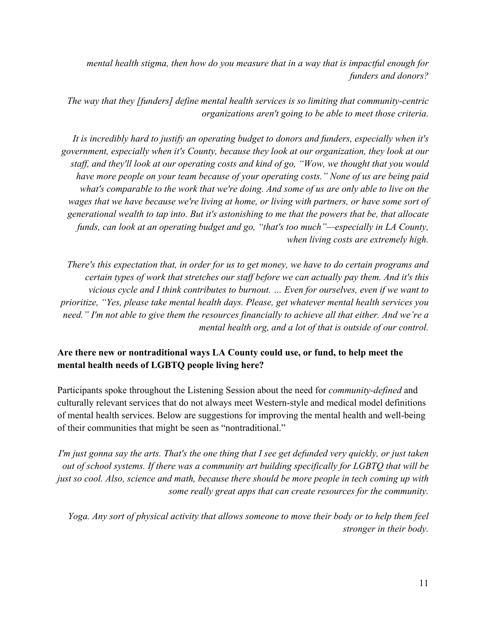*mental health stigma, then how do you measure that in a way that is impactful enough for funders and donors?*

*The way that they [funders] define mental health services is so limiting that community-centric organizations aren't going to be able to meet those criteria.*

*It is incredibly hard to justify an operating budget to donors and funders, especially when it's government, especially when it's County, because they look at our organization, they look at our staff, and they'll look at our operating costs and kind of go, "Wow, we thought that you would have more people on your team because of your operating costs." None of us are being paid what's comparable to the work that we're doing. And some of us are only able to live on the wages that we have because we're living at home, or living with partners, or have some sort of generational wealth to tap into. But it's astonishing to me that the powers that be, that allocate funds, can look at an operating budget and go, "that's too much"—especially in LA County, when living costs are extremely high.*

*There's this expectation that, in order for us to get money, we have to do certain programs and certain types of work that stretches our staff before we can actually pay them. And it's this vicious cycle and I think contributes to burnout. … Even for ourselves, even if we want to prioritize, "Yes, please take mental health days. Please, get whatever mental health services you need." I'm not able to give them the resources financially to achieve all that either. And we're a mental health org, and a lot of that is outside of our control.*

## **Are there new or nontraditional ways LA County could use, or fund, to help meet the mental health needs of LGBTQ people living here?**

Participants spoke throughout the Listening Session about the need for *community-defined* and culturally relevant services that do not always meet Western-style and medical model definitions of mental health services. Below are suggestions for improving the mental health and well-being of their communities that might be seen as "nontraditional."

*I'm just gonna say the arts. That's the one thing that I see get defunded very quickly, or just taken out of school systems. If there was a community art building specifically for LGBTQ that will be just so cool. Also, science and math, because there should be more people in tech coming up with some really great apps that can create resources for the community.*

*Yoga. Any sort of physical activity that allows someone to move their body or to help them feel stronger in their body.*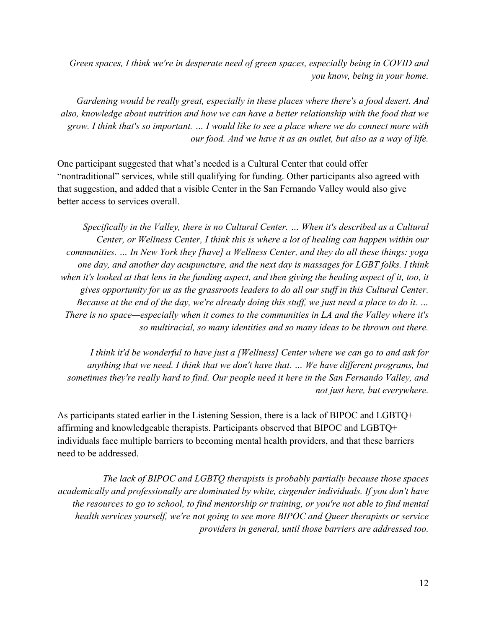*Green spaces, I think we're in desperate need of green spaces, especially being in COVID and you know, being in your home.*

*Gardening would be really great, especially in these places where there's a food desert. And also, knowledge about nutrition and how we can have a better relationship with the food that we grow. I think that's so important. … I would like to see a place where we do connect more with our food. And we have it as an outlet, but also as a way of life.*

One participant suggested that what's needed is a Cultural Center that could offer "nontraditional" services, while still qualifying for funding. Other participants also agreed with that suggestion, and added that a visible Center in the San Fernando Valley would also give better access to services overall.

*Specifically in the Valley, there is no Cultural Center. … When it's described as a Cultural Center, or Wellness Center, I think this is where a lot of healing can happen within our communities. … In New York they [have] a Wellness Center, and they do all these things: yoga one day, and another day acupuncture, and the next day is massages for LGBT folks. I think when it's looked at that lens in the funding aspect, and then giving the healing aspect of it, too, it gives opportunity for us as the grassroots leaders to do all our stuff in this Cultural Center. Because at the end of the day, we're already doing this stuff, we just need a place to do it. … There is no space—especially when it comes to the communities in LA and the Valley where it's so multiracial, so many identities and so many ideas to be thrown out there.*

*I think it'd be wonderful to have just a [Wellness] Center where we can go to and ask for*  anything that we need. I think that we don't have that. ... We have different programs, but *sometimes they're really hard to find. Our people need it here in the San Fernando Valley, and not just here, but everywhere.*

As participants stated earlier in the Listening Session, there is a lack of BIPOC and LGBTQ+ affirming and knowledgeable therapists. Participants observed that BIPOC and LGBTQ+ individuals face multiple barriers to becoming mental health providers, and that these barriers need to be addressed.

*The lack of BIPOC and LGBTQ therapists is probably partially because those spaces academically and professionally are dominated by white, cisgender individuals. If you don't have the resources to go to school, to find mentorship or training, or you're not able to find mental health services yourself, we're not going to see more BIPOC and Queer therapists or service providers in general, until those barriers are addressed too.*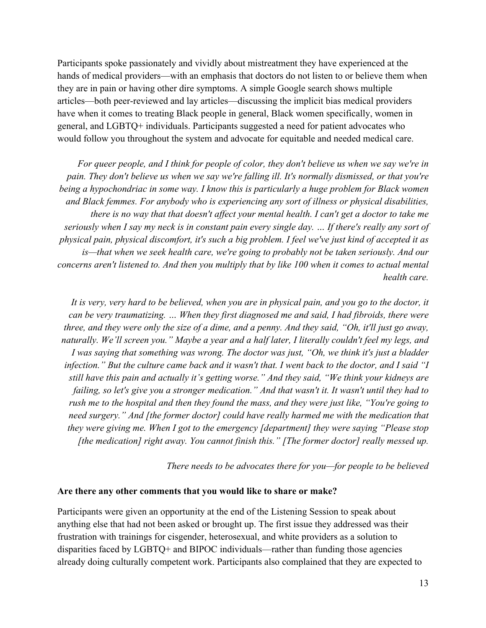Participants spoke passionately and vividly about mistreatment they have experienced at the hands of medical providers—with an emphasis that doctors do not listen to or believe them when they are in pain or having other dire symptoms. A simple Google search shows multiple articles—both peer-reviewed and lay articles—discussing the implicit bias medical providers have when it comes to treating Black people in general, Black women specifically, women in general, and LGBTQ+ individuals. Participants suggested a need for patient advocates who would follow you throughout the system and advocate for equitable and needed medical care.

*For queer people, and I think for people of color, they don't believe us when we say we're in pain. They don't believe us when we say we're falling ill. It's normally dismissed, or that you're being a hypochondriac in some way. I know this is particularly a huge problem for Black women and Black femmes. For anybody who is experiencing any sort of illness or physical disabilities, there is no way that that doesn't affect your mental health. I can't get a doctor to take me seriously when I say my neck is in constant pain every single day. … If there's really any sort of physical pain, physical discomfort, it's such a big problem. I feel we've just kind of accepted it as is—that when we seek health care, we're going to probably not be taken seriously. And our concerns aren't listened to. And then you multiply that by like 100 when it comes to actual mental health care.*

*It is very, very hard to be believed, when you are in physical pain, and you go to the doctor, it can be very traumatizing. … When they first diagnosed me and said, I had fibroids, there were three, and they were only the size of a dime, and a penny. And they said, "Oh, it'll just go away, naturally. We'll screen you." Maybe a year and a half later, I literally couldn't feel my legs, and I was saying that something was wrong. The doctor was just, "Oh, we think it's just a bladder infection." But the culture came back and it wasn't that. I went back to the doctor, and I said "I still have this pain and actually it's getting worse." And they said, "We think your kidneys are failing, so let's give you a stronger medication." And that wasn't it. It wasn't until they had to rush me to the hospital and then they found the mass, and they were just like, "You're going to need surgery." And [the former doctor] could have really harmed me with the medication that they were giving me. When I got to the emergency [department] they were saying "Please stop [the medication] right away. You cannot finish this." [The former doctor] really messed up.*

*There needs to be advocates there for you—for people to be believed*

#### **Are there any other comments that you would like to share or make?**

Participants were given an opportunity at the end of the Listening Session to speak about anything else that had not been asked or brought up. The first issue they addressed was their frustration with trainings for cisgender, heterosexual, and white providers as a solution to disparities faced by LGBTQ+ and BIPOC individuals—rather than funding those agencies already doing culturally competent work. Participants also complained that they are expected to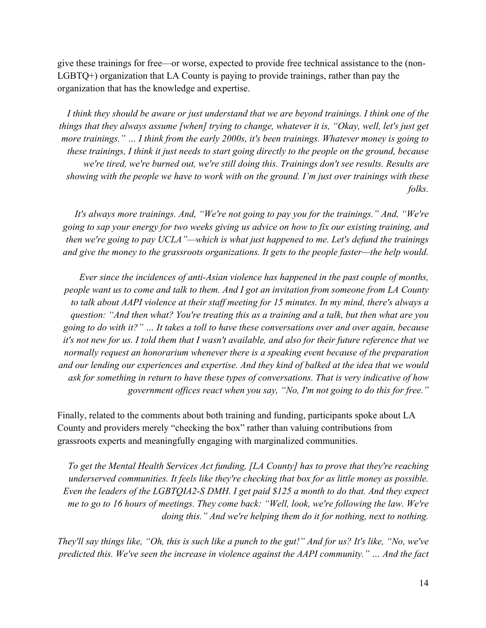give these trainings for free—or worse, expected to provide free technical assistance to the (non-LGBTQ+) organization that LA County is paying to provide trainings, rather than pay the organization that has the knowledge and expertise.

*I think they should be aware or just understand that we are beyond trainings. I think one of the things that they always assume [when] trying to change, whatever it is, "Okay, well, let's just get more trainings." … I think from the early 2000s, it's been trainings. Whatever money is going to these trainings, I think it just needs to start going directly to the people on the ground, because we're tired, we're burned out, we're still doing this. Trainings don't see results. Results are showing with the people we have to work with on the ground. I'm just over trainings with these folks.*

*It's always more trainings. And, "We're not going to pay you for the trainings." And, "We're going to sap your energy for two weeks giving us advice on how to fix our existing training, and then we're going to pay UCLA"—which is what just happened to me. Let's defund the trainings and give the money to the grassroots organizations. It gets to the people faster—the help would.*

*Ever since the incidences of anti-Asian violence has happened in the past couple of months, people want us to come and talk to them. And I got an invitation from someone from LA County to talk about AAPI violence at their staff meeting for 15 minutes. In my mind, there's always a question: "And then what? You're treating this as a training and a talk, but then what are you going to do with it?" … It takes a toll to have these conversations over and over again, because it's not new for us. I told them that I wasn't available, and also for their future reference that we normally request an honorarium whenever there is a speaking event because of the preparation and our lending our experiences and expertise. And they kind of balked at the idea that we would ask for something in return to have these types of conversations. That is very indicative of how government offices react when you say, "No, I'm not going to do this for free."*

Finally, related to the comments about both training and funding, participants spoke about LA County and providers merely "checking the box" rather than valuing contributions from grassroots experts and meaningfully engaging with marginalized communities.

*To get the Mental Health Services Act funding, [LA County] has to prove that they're reaching underserved communities. It feels like they're checking that box for as little money as possible. Even the leaders of the LGBTQIA2-S DMH. I get paid \$125 a month to do that. And they expect me to go to 16 hours of meetings. They come back: "Well, look, we're following the law. We're doing this." And we're helping them do it for nothing, next to nothing.*

*They'll say things like, "Oh, this is such like a punch to the gut!" And for us? It's like, "No, we've predicted this. We've seen the increase in violence against the AAPI community." … And the fact*